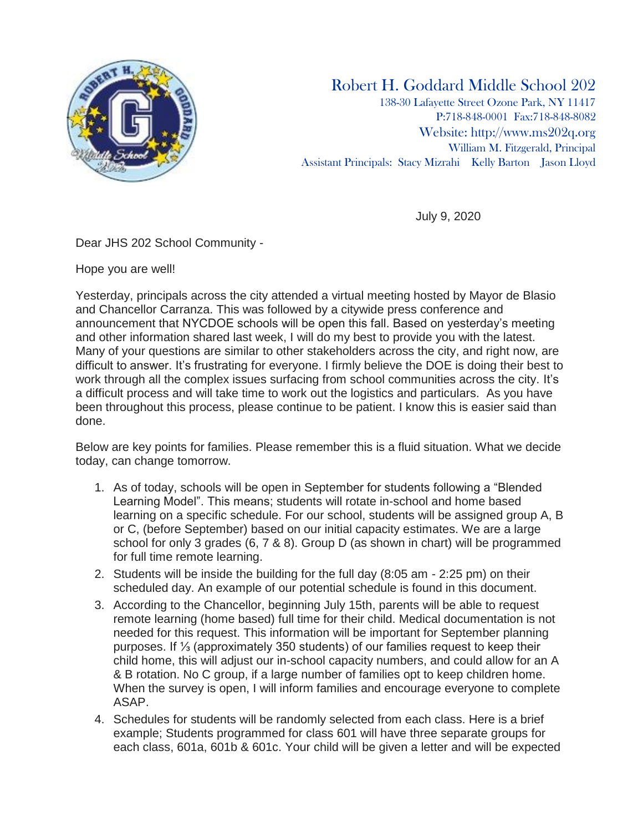

## Robert H. Goddard Middle School 202

138-30 Lafayette Street Ozone Park, NY 11417 P:718-848-0001 Fax:718-848-8082 Website: [http://www.ms202q.org](http://www.ms202q.org/) William M. Fitzgerald, Principal Assistant Principals: Stacy Mizrahi Kelly Barton Jason Lloyd

July 9, 2020

Dear JHS 202 School Community -

Hope you are well!

Yesterday, principals across the city attended a virtual meeting hosted by Mayor de Blasio and Chancellor Carranza. This was followed by a citywide press conference and announcement that NYCDOE schools will be open this fall. Based on yesterday's meeting and other information shared last week, I will do my best to provide you with the latest. Many of your questions are similar to other stakeholders across the city, and right now, are difficult to answer. It's frustrating for everyone. I firmly believe the DOE is doing their best to work through all the complex issues surfacing from school communities across the city. It's a difficult process and will take time to work out the logistics and particulars. As you have been throughout this process, please continue to be patient. I know this is easier said than done.

Below are key points for families. Please remember this is a fluid situation. What we decide today, can change tomorrow.

- 1. As of today, schools will be open in September for students following a "Blended Learning Model". This means; students will rotate in-school and home based learning on a specific schedule. For our school, students will be assigned group A, B or C, (before September) based on our initial capacity estimates. We are a large school for only 3 grades (6, 7 & 8). Group D (as shown in chart) will be programmed for full time remote learning.
- 2. Students will be inside the building for the full day (8:05 am 2:25 pm) on their scheduled day. An example of our potential schedule is found in this document.
- 3. According to the Chancellor, beginning July 15th, parents will be able to request remote learning (home based) full time for their child. Medical documentation is not needed for this request. This information will be important for September planning purposes. If ⅓ (approximately 350 students) of our families request to keep their child home, this will adjust our in-school capacity numbers, and could allow for an A & B rotation. No C group, if a large number of families opt to keep children home. When the survey is open, I will inform families and encourage everyone to complete ASAP.
- 4. Schedules for students will be randomly selected from each class. Here is a brief example; Students programmed for class 601 will have three separate groups for each class, 601a, 601b & 601c. Your child will be given a letter and will be expected